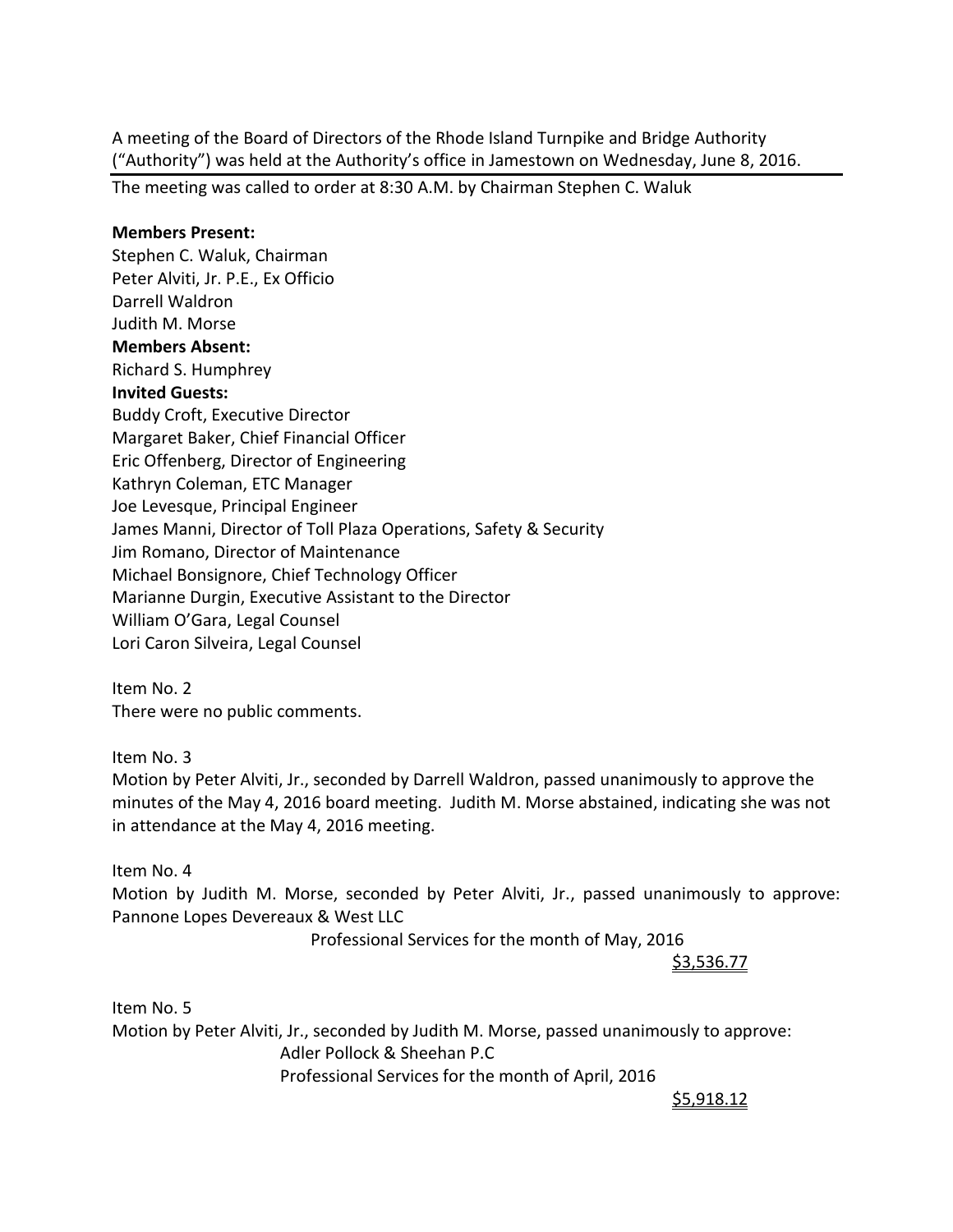A meeting of the Board of Directors of the Rhode Island Turnpike and Bridge Authority ("Authority") was held at the Authority's office in Jamestown on Wednesday, June 8, 2016.

The meeting was called to order at 8:30 A.M. by Chairman Stephen C. Waluk

### **Members Present:**

Stephen C. Waluk, Chairman Peter Alviti, Jr. P.E., Ex Officio Darrell Waldron Judith M. Morse **Members Absent:**  Richard S. Humphrey **Invited Guests:** Buddy Croft, Executive Director Margaret Baker, Chief Financial Officer Eric Offenberg, Director of Engineering Kathryn Coleman, ETC Manager Joe Levesque, Principal Engineer James Manni, Director of Toll Plaza Operations, Safety & Security Jim Romano, Director of Maintenance Michael Bonsignore, Chief Technology Officer Marianne Durgin, Executive Assistant to the Director William O'Gara, Legal Counsel Lori Caron Silveira, Legal Counsel

Item No. 2 There were no public comments.

Item No. 3

Motion by Peter Alviti, Jr., seconded by Darrell Waldron, passed unanimously to approve the minutes of the May 4, 2016 board meeting. Judith M. Morse abstained, indicating she was not in attendance at the May 4, 2016 meeting.

Item No. 4

Motion by Judith M. Morse, seconded by Peter Alviti, Jr., passed unanimously to approve: Pannone Lopes Devereaux & West LLC

Professional Services for the month of May, 2016

\$3,536.77

Item No. 5 Motion by Peter Alviti, Jr., seconded by Judith M. Morse, passed unanimously to approve: Adler Pollock & Sheehan P.C Professional Services for the month of April, 2016

\$5,918.12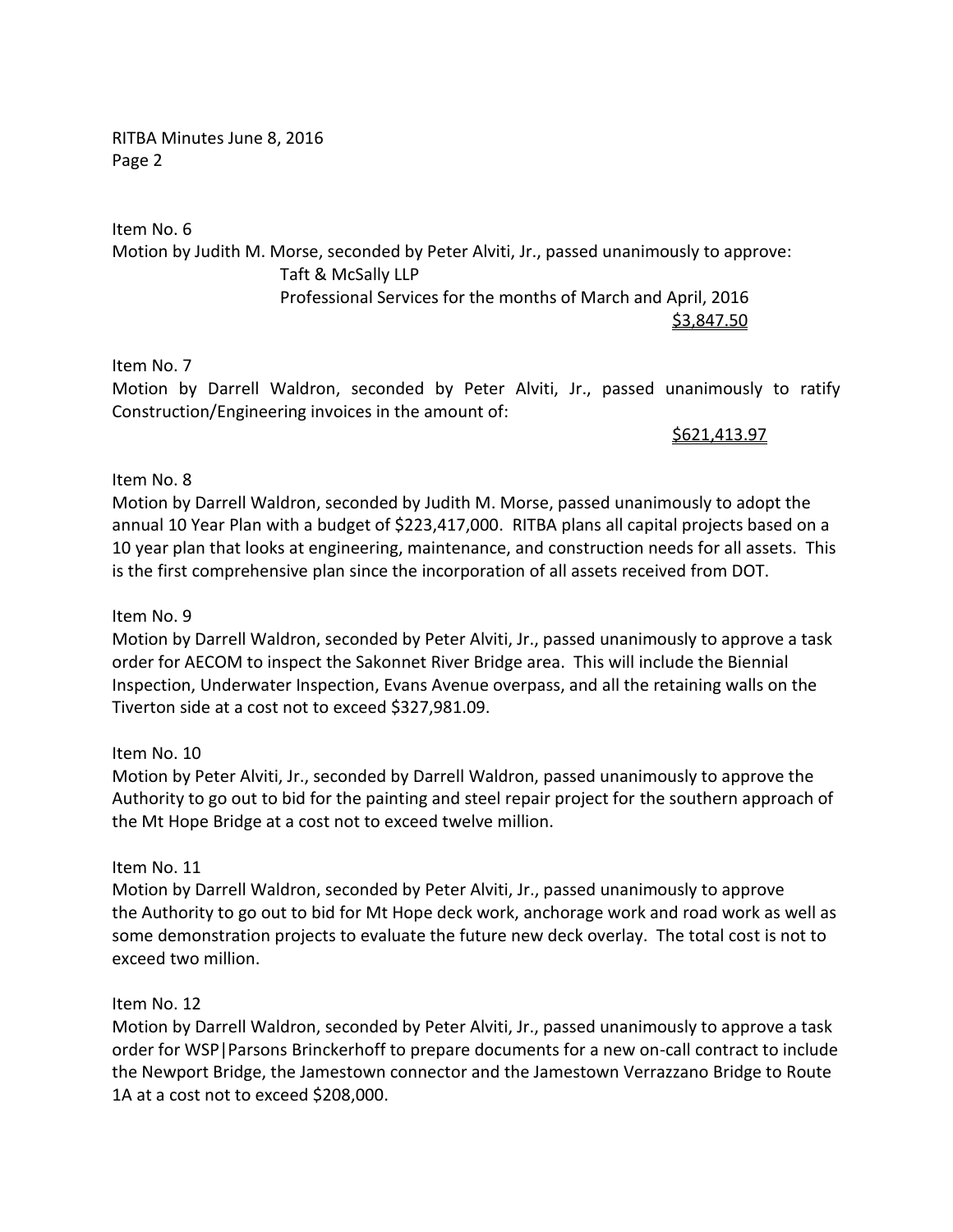RITBA Minutes June 8, 2016 Page 2

Item No. 6 Motion by Judith M. Morse, seconded by Peter Alviti, Jr., passed unanimously to approve: Taft & McSally LLP Professional Services for the months of March and April, 2016 \$3,847.50

Item No. 7

Motion by Darrell Waldron, seconded by Peter Alviti, Jr., passed unanimously to ratify Construction/Engineering invoices in the amount of:

\$621,413.97

## Item No. 8

Motion by Darrell Waldron, seconded by Judith M. Morse, passed unanimously to adopt the annual 10 Year Plan with a budget of \$223,417,000. RITBA plans all capital projects based on a 10 year plan that looks at engineering, maintenance, and construction needs for all assets. This is the first comprehensive plan since the incorporation of all assets received from DOT.

## Item No. 9

Motion by Darrell Waldron, seconded by Peter Alviti, Jr., passed unanimously to approve a task order for AECOM to inspect the Sakonnet River Bridge area. This will include the Biennial Inspection, Underwater Inspection, Evans Avenue overpass, and all the retaining walls on the Tiverton side at a cost not to exceed \$327,981.09.

### Item No. 10

Motion by Peter Alviti, Jr., seconded by Darrell Waldron, passed unanimously to approve the Authority to go out to bid for the painting and steel repair project for the southern approach of the Mt Hope Bridge at a cost not to exceed twelve million.

### Item No. 11

Motion by Darrell Waldron, seconded by Peter Alviti, Jr., passed unanimously to approve the Authority to go out to bid for Mt Hope deck work, anchorage work and road work as well as some demonstration projects to evaluate the future new deck overlay. The total cost is not to exceed two million.

## Item No. 12

Motion by Darrell Waldron, seconded by Peter Alviti, Jr., passed unanimously to approve a task order for WSP|Parsons Brinckerhoff to prepare documents for a new on-call contract to include the Newport Bridge, the Jamestown connector and the Jamestown Verrazzano Bridge to Route 1A at a cost not to exceed \$208,000.